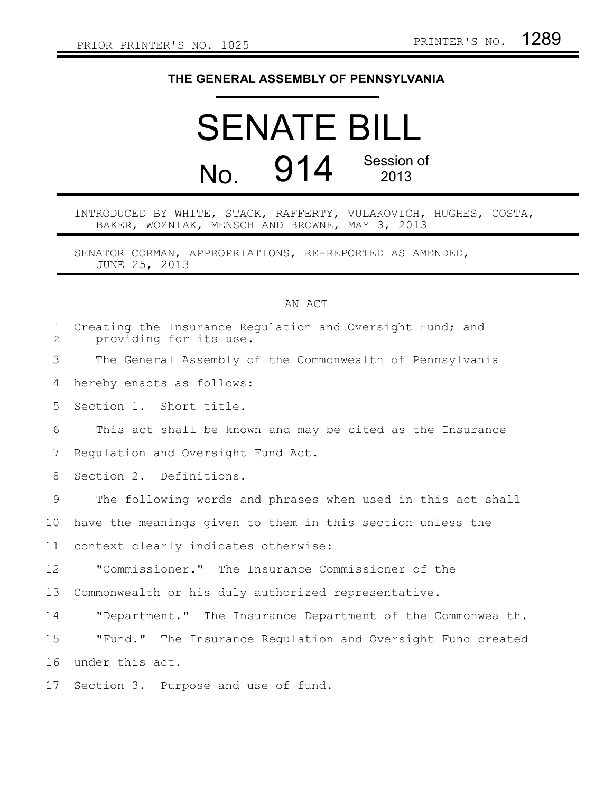## **THE GENERAL ASSEMBLY OF PENNSYLVANIA**

## SENATE BILL No. 914 Session of 2013

INTRODUCED BY WHITE, STACK, RAFFERTY, VULAKOVICH, HUGHES, COSTA, BAKER, WOZNIAK, MENSCH AND BROWNE, MAY 3, 2013

SENATOR CORMAN, APPROPRIATIONS, RE-REPORTED AS AMENDED, JUNE 25, 2013

## AN ACT

| $\mathbf{1}$<br>2 | Creating the Insurance Regulation and Oversight Fund; and<br>providing for its use. |
|-------------------|-------------------------------------------------------------------------------------|
| 3                 | The General Assembly of the Commonwealth of Pennsylvania                            |
| 4                 | hereby enacts as follows:                                                           |
| 5                 | Section 1. Short title.                                                             |
| 6                 | This act shall be known and may be cited as the Insurance                           |
| 7                 | Regulation and Oversight Fund Act.                                                  |
| 8                 | Section 2. Definitions.                                                             |
| 9                 | The following words and phrases when used in this act shall                         |
| 10                | have the meanings given to them in this section unless the                          |
| 11                | context clearly indicates otherwise:                                                |
| 12                | "Commissioner." The Insurance Commissioner of the                                   |
| 13                | Commonwealth or his duly authorized representative.                                 |
| 14                | "Department." The Insurance Department of the Commonwealth.                         |
| 15                | "Fund." The Insurance Regulation and Oversight Fund created                         |
| 16                | under this act.                                                                     |
| 17                | Section 3. Purpose and use of fund.                                                 |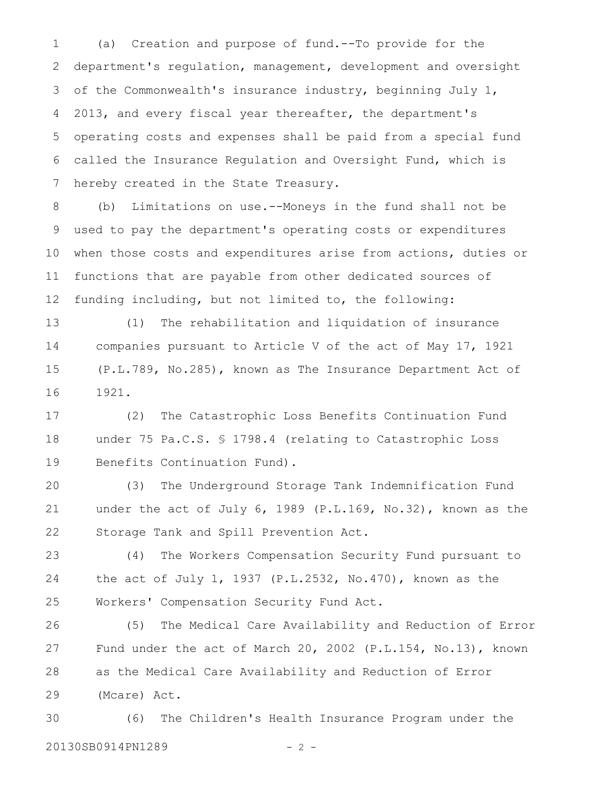(a) Creation and purpose of fund.--To provide for the department's regulation, management, development and oversight of the Commonwealth's insurance industry, beginning July 1, 2013, and every fiscal year thereafter, the department's operating costs and expenses shall be paid from a special fund called the Insurance Regulation and Oversight Fund, which is hereby created in the State Treasury. 1 2 3 4 5 6 7

(b) Limitations on use.--Moneys in the fund shall not be used to pay the department's operating costs or expenditures when those costs and expenditures arise from actions, duties or functions that are payable from other dedicated sources of funding including, but not limited to, the following: 8 9 10 11 12

(1) The rehabilitation and liquidation of insurance companies pursuant to Article V of the act of May 17, 1921 (P.L.789, No.285), known as The Insurance Department Act of 1921. 13 14 15 16

(2) The Catastrophic Loss Benefits Continuation Fund under 75 Pa.C.S. § 1798.4 (relating to Catastrophic Loss Benefits Continuation Fund). 17 18 19

(3) The Underground Storage Tank Indemnification Fund under the act of July 6, 1989 (P.L.169, No.32), known as the Storage Tank and Spill Prevention Act. 20 21 22

(4) The Workers Compensation Security Fund pursuant to the act of July 1, 1937 (P.L.2532, No.470), known as the Workers' Compensation Security Fund Act. 23 24 25

(5) The Medical Care Availability and Reduction of Error Fund under the act of March 20, 2002 (P.L.154, No.13), known as the Medical Care Availability and Reduction of Error (Mcare) Act. 26 27 28 29

(6) The Children's Health Insurance Program under the 20130SB0914PN1289 - 2 -30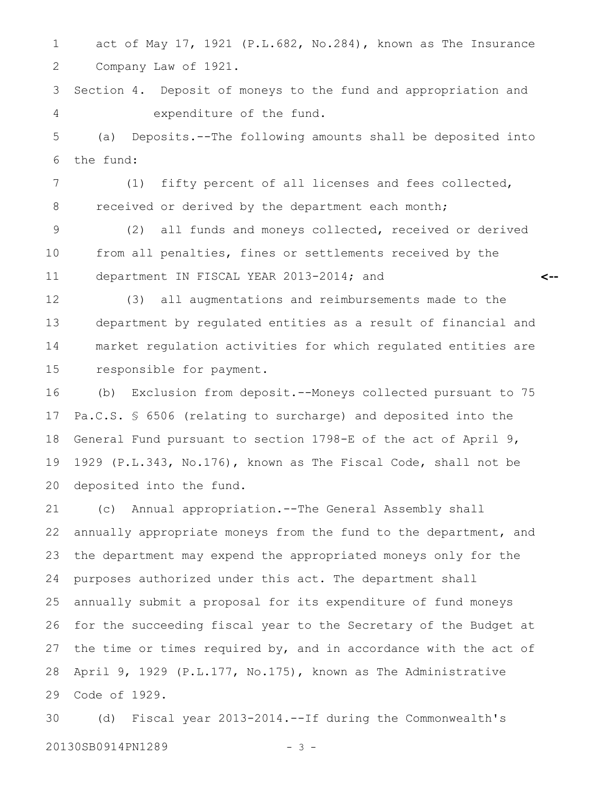act of May 17, 1921 (P.L.682, No.284), known as The Insurance Company Law of 1921. 1 2

Section 4. Deposit of moneys to the fund and appropriation and expenditure of the fund. 3 4

(a) Deposits.--The following amounts shall be deposited into the fund: 5 6

(1) fifty percent of all licenses and fees collected, received or derived by the department each month; 7 8

(2) all funds and moneys collected, received or derived from all penalties, fines or settlements received by the department IN FISCAL YEAR 2013-2014; and 9 10 11

**<--**

(3) all augmentations and reimbursements made to the department by regulated entities as a result of financial and market regulation activities for which regulated entities are responsible for payment. 12 13 14 15

(b) Exclusion from deposit.--Moneys collected pursuant to 75 Pa.C.S. § 6506 (relating to surcharge) and deposited into the General Fund pursuant to section 1798-E of the act of April 9, 1929 (P.L.343, No.176), known as The Fiscal Code, shall not be deposited into the fund. 16 17 18 19 20

(c) Annual appropriation.--The General Assembly shall annually appropriate moneys from the fund to the department, and the department may expend the appropriated moneys only for the purposes authorized under this act. The department shall annually submit a proposal for its expenditure of fund moneys for the succeeding fiscal year to the Secretary of the Budget at the time or times required by, and in accordance with the act of April 9, 1929 (P.L.177, No.175), known as The Administrative Code of 1929. 21 22 23 24 25 26 27 28 29

(d) Fiscal year 2013-2014.--If during the Commonwealth's 20130SB0914PN1289 - 3 -30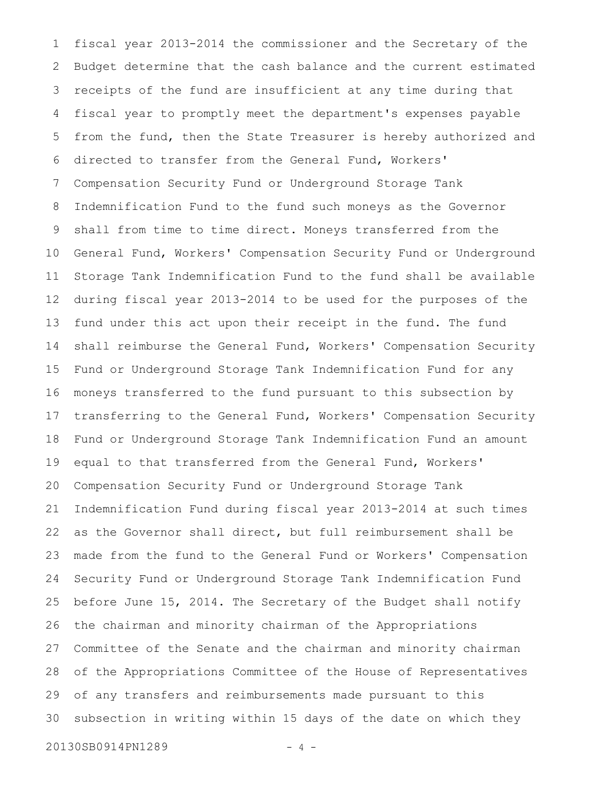fiscal year 2013-2014 the commissioner and the Secretary of the Budget determine that the cash balance and the current estimated receipts of the fund are insufficient at any time during that fiscal year to promptly meet the department's expenses payable from the fund, then the State Treasurer is hereby authorized and directed to transfer from the General Fund, Workers' Compensation Security Fund or Underground Storage Tank Indemnification Fund to the fund such moneys as the Governor shall from time to time direct. Moneys transferred from the General Fund, Workers' Compensation Security Fund or Underground Storage Tank Indemnification Fund to the fund shall be available during fiscal year 2013-2014 to be used for the purposes of the fund under this act upon their receipt in the fund. The fund shall reimburse the General Fund, Workers' Compensation Security Fund or Underground Storage Tank Indemnification Fund for any moneys transferred to the fund pursuant to this subsection by transferring to the General Fund, Workers' Compensation Security Fund or Underground Storage Tank Indemnification Fund an amount equal to that transferred from the General Fund, Workers' Compensation Security Fund or Underground Storage Tank Indemnification Fund during fiscal year 2013-2014 at such times as the Governor shall direct, but full reimbursement shall be made from the fund to the General Fund or Workers' Compensation Security Fund or Underground Storage Tank Indemnification Fund before June 15, 2014. The Secretary of the Budget shall notify the chairman and minority chairman of the Appropriations Committee of the Senate and the chairman and minority chairman of the Appropriations Committee of the House of Representatives of any transfers and reimbursements made pursuant to this subsection in writing within 15 days of the date on which they 1 2 3 4 5 6 7 8 9 10 11 12 13 14 15 16 17 18 19 20 21 22 23 24 25 26 27 28 29 30

20130SB0914PN1289 - 4 -